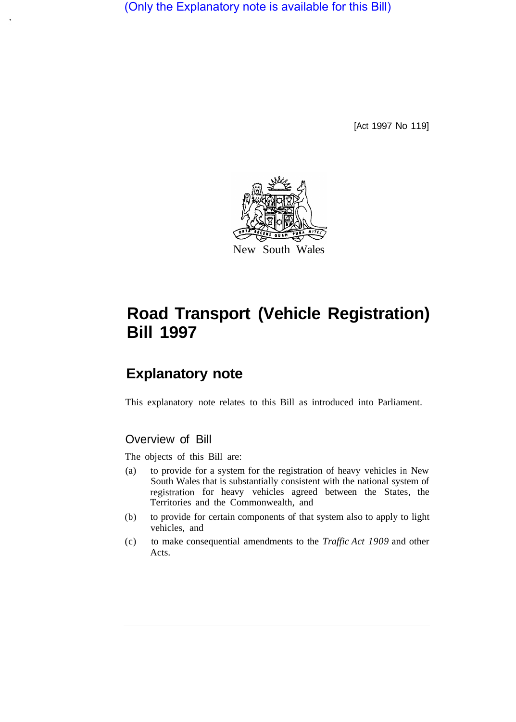(Only the Explanatory note is available for this Bill)

[Act 1997 No 119]



# **Road Transport (Vehicle Registration) Bill 1997**

## **Explanatory note**

This explanatory note relates to this Bill as introduced into Parliament.

## Overview of Bill

The objects of this Bill are:

- (a) to provide for a system for the registration of heavy vehicles in New South Wales that is substantially consistent with the national system of registration for heavy vehicles agreed between the States, the Territories and the Commonwealth, and
- (b) to provide for certain components of that system also to apply to light vehicles, and
- (c) to make consequential amendments to the *Traffic Act 1909* and other Acts.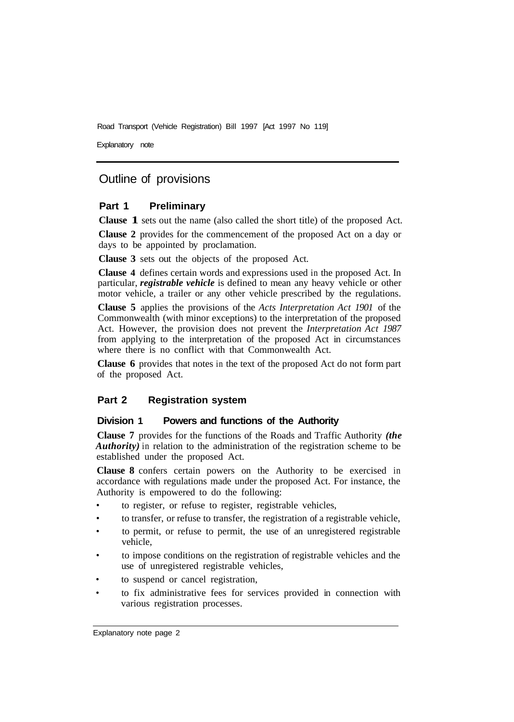Explanatory note

## Outline of provisions

#### **Part 1 Preliminary**

**Clause 1** sets out the name (also called the short title) of the proposed Act.

**Clause 2** provides for the commencement of the proposed Act on a day or days to be appointed by proclamation.

**Clause 3** sets out the objects of the proposed Act.

**Clause 4** defines certain words and expressions used in the proposed Act. In particular, *registrable vehicle* is defined to mean any heavy vehicle or other motor vehicle, a trailer or any other vehicle prescribed by the regulations.

**Clause 5** applies the provisions of the *Acts Interpretation Act 1901* of the Commonwealth (with minor exceptions) to the interpretation of the proposed Act. However, the provision does not prevent the *Interpretation Act 1987*  from applying to the interpretation of the proposed Act in circumstances where there is no conflict with that Commonwealth Act.

**Clause 6** provides that notes in the text of the proposed Act do not form part of the proposed Act.

#### **Part 2 Registration system**

#### **Division 1 Powers and functions of the Authority**

**Clause 7** provides for the functions of the Roads and Traffic Authority *(the Authority*) in relation to the administration of the registration scheme to be established under the proposed Act.

**Clause 8** confers certain powers on the Authority to be exercised in accordance with regulations made under the proposed Act. For instance, the Authority is empowered to do the following:

- to register, or refuse to register, registrable vehicles,
- to transfer, or refuse to transfer, the registration of a registrable vehicle,
- to permit, or refuse to permit, the use of an unregistered registrable vehicle,
- to impose conditions on the registration of registrable vehicles and the use of unregistered registrable vehicles,
- to suspend or cancel registration,
- to fix administrative fees for services provided in connection with various registration processes.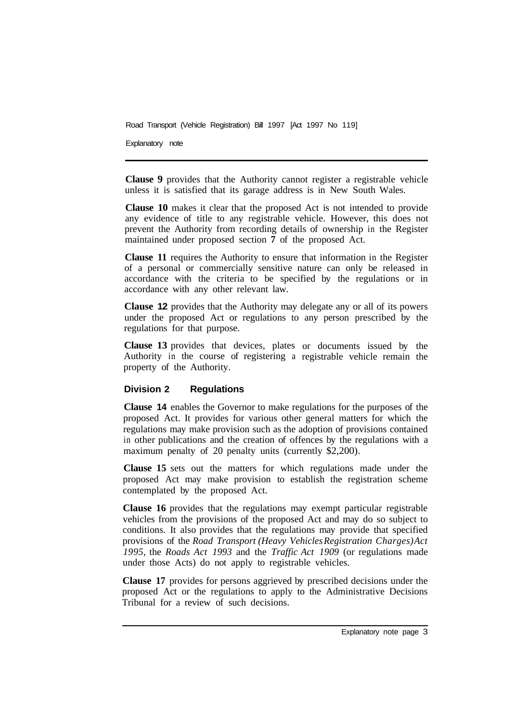Explanatory note

**Clause 9** provides that the Authority cannot register a registrable vehicle unless it is satisfied that its garage address is in New South Wales.

**Clause 10** makes it clear that the proposed Act is not intended to provide any evidence of title to any registrable vehicle. However, this does not prevent the Authority from recording details of ownership in the Register maintained under proposed section **7** of the proposed Act.

**Clause 11** requires the Authority to ensure that information in the Register of a personal or commercially sensitive nature can only be released in accordance with the criteria to be specified by the regulations or in accordance with any other relevant law.

**Clause 12** provides that the Authority may delegate any or all of its powers under the proposed Act or regulations to any person prescribed by the regulations for that purpose.

**Clause 13** provides that devices, plates or documents issued by the Authority in the course of registering a registrable vehicle remain the property of the Authority.

#### **Division 2 Regulations**

**Clause 14** enables the Governor to make regulations for the purposes of the proposed Act. It provides for various other general matters for which the regulations may make provision such as the adoption of provisions contained in other publications and the creation of offences by the regulations with a maximum penalty of 20 penalty units (currently \$2,200).

**Clause 15** sets out the matters for which regulations made under the proposed Act may make provision to establish the registration scheme contemplated by the proposed Act.

**Clause 16** provides that the regulations may exempt particular registrable vehicles from the provisions of the proposed Act and may do so subject to conditions. It also provides that the regulations may provide that specified provisions of the *Road Transport (Heavy Vehicles Registration Charges) Act 1995,* the *Roads Act 1993* and the *Traffic Act 1909* (or regulations made under those Acts) do not apply to registrable vehicles.

**Clause 17** provides for persons aggrieved by prescribed decisions under the proposed Act or the regulations to apply to the Administrative Decisions Tribunal for a review of such decisions.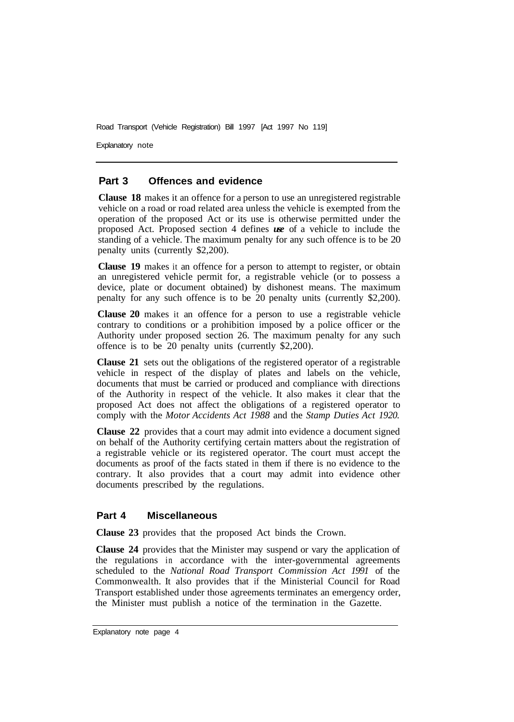Explanatory note

#### **Part 3 Offences and evidence**

**Clause 18** makes it an offence for a person to use an unregistered registrable vehicle on a road or road related area unless the vehicle is exempted from the operation of the proposed Act or its use is otherwise permitted under the proposed Act. Proposed section 4 defines *use* of a vehicle to include the standing of a vehicle. The maximum penalty for any such offence is to be 20 penalty units (currently \$2,200).

**Clause 19** makes it an offence for a person to attempt to register, or obtain an unregistered vehicle permit for, a registrable vehicle (or to possess a device, plate or document obtained) by dishonest means. The maximum penalty for any such offence is to be 20 penalty units (currently \$2,200).

**Clause 20** makes it an offence for a person to use a registrable vehicle contrary to conditions or a prohibition imposed by a police officer or the Authority under proposed section 26. The maximum penalty for any such offence is to be 20 penalty units (currently \$2,200).

**Clause 21** sets out the obligations of the registered operator of a registrable vehicle in respect of the display of plates and labels on the vehicle, documents that must be carried or produced and compliance with directions of the Authority in respect of the vehicle. It also makes it clear that the proposed Act does not affect the obligations of a registered operator to comply with the *Motor Accidents Act 1988* and the *Stamp Duties Act 1920.* 

**Clause 22** provides that a court may admit into evidence a document signed on behalf of the Authority certifying certain matters about the registration of a registrable vehicle or its registered operator. The court must accept the documents as proof of the facts stated in them if there is no evidence to the contrary. It also provides that a court may admit into evidence other documents prescribed by the regulations.

#### **Part 4 Miscellaneous**

**Clause 23** provides that the proposed Act binds the Crown.

**Clause 24** provides that the Minister may suspend or vary the application of the regulations in accordance with the inter-governmental agreements scheduled to the *National Road Transport Commission Act 1991* of the Commonwealth. It also provides that if the Ministerial Council for Road Transport established under those agreements terminates an emergency order, the Minister must publish a notice of the termination in the Gazette.